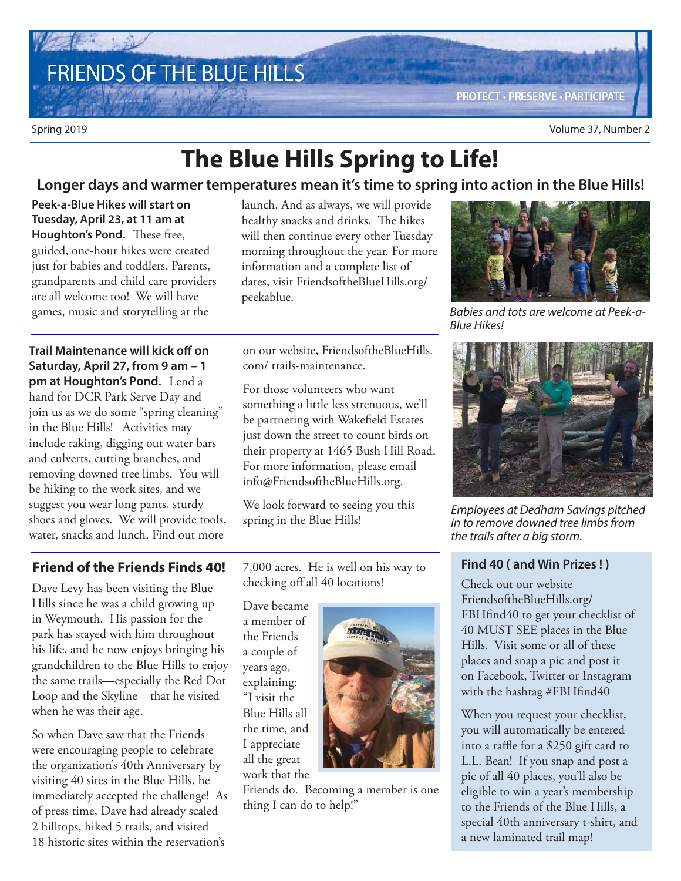# **FRIENDS OF THE BLUE HILLS**

## **The Blue Hills Spring to Life!**

#### **Longer days and warmer temperatures mean it's time to spring into action in the Blue Hills!**

**Peek-a-Blue Hikes will start on Tuesday, April 23, at 11 am at Houghton's Pond.** These free, guided, one-hour hikes were created just for babies and toddlers. Parents, grandparents and child care providers are all welcome too! We will have games, music and storytelling at the

**Trail Maintenance will kick off on Saturday, April 27, from 9 am – 1 pm at Houghton's Pond.** Lend a hand for DCR Park Serve Day and join us as we do some "spring cleaning" in the Blue Hills! Activities may include raking, digging out water bars and culverts, cutting branches, and removing downed tree limbs. You will be hiking to the work sites, and we suggest you wear long pants, sturdy shoes and gloves. We will provide tools, water, snacks and lunch. Find out more

launch. And as always, we will provide healthy snacks and drinks. The hikes will then continue every other Tuesday morning throughout the year. For more information and a complete list of dates, visit FriendsoftheBlueHills.org/ peekablue.

on our website, FriendsoftheBlueHills. com/ trails-maintenance.

For those volunteers who want something a little less strenuous, we'll be partnering with Wakefield Estates just down the street to count birds on their property at 1465 Bush Hill Road. For more information, please email info@FriendsoftheBlueHills.org.

We look forward to seeing you this spring in the Blue Hills!

#### **Friend of the Friends Finds 40!**

Dave Levy has been visiting the Blue Hills since he was a child growing up in Weymouth. His passion for the park has stayed with him throughout his life, and he now enjoys bringing his grandchildren to the Blue Hills to enjoy the same trails—especially the Red Dot Loop and the Skyline—that he visited when he was their age.

So when Dave saw that the Friends were encouraging people to celebrate the organization's 40th Anniversary by visiting 40 sites in the Blue Hills, he immediately accepted the challenge! As of press time, Dave had already scaled 2 hilltops, hiked 5 trails, and visited 18 historic sites within the reservation's

7,000 acres. He is well on his way to checking off all 40 locations!

Dave became a member of the Friends a couple of years ago, explaining: "I visit the Blue Hills all the time, and I appreciate all the great work that the



Friends do. Becoming a member is one thing I can do to help!"



Babies and tots are welcome at Peek-a-Blue Hikes!



Employees at Dedham Savings pitched in to remove downed tree limbs from the trails after a big storm.

#### **Find 40 ( and Win Prizes ! )**

Check out our website FriendsoftheBlueHills.org/ FBHfind40 to get your checklist of 40 MUST SEE places in the Blue Hills. Visit some or all of these places and snap a pic and post it on Facebook, Twitter or Instagram with the hashtag #FBHfind40

When you request your checklist, you will automatically be entered into a raffle for a \$250 gift card to L.L. Bean! If you snap and post a pic of all 40 places, you'll also be eligible to win a year's membership to the Friends of the Blue Hills, a special 40th anniversary t-shirt, and a new laminated trail map!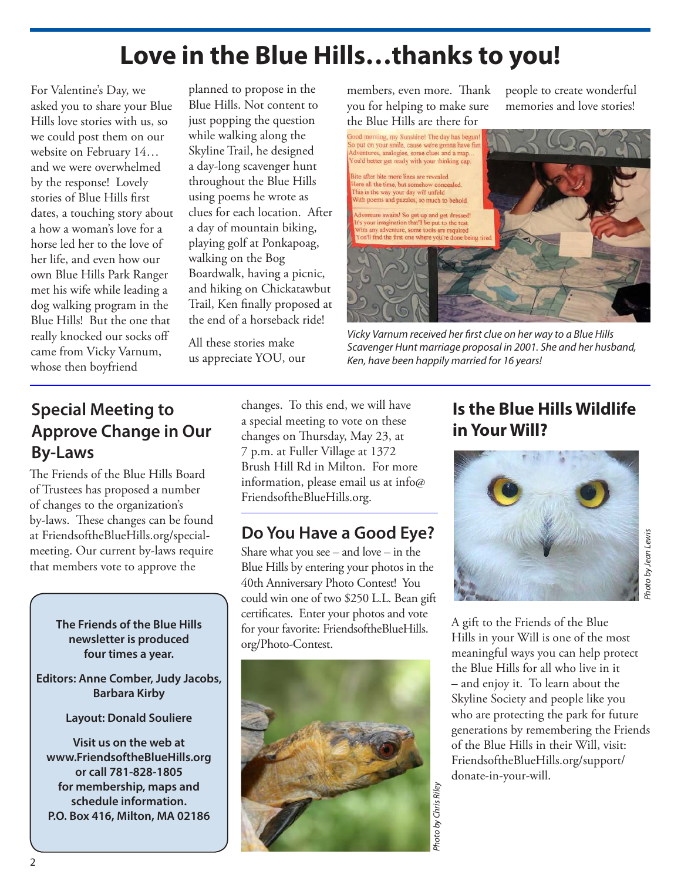## **Love in the Blue Hills…thanks to you!**

For Valentine's Day, we asked you to share your Blue Hills love stories with us, so we could post them on our website on February 14… and we were overwhelmed by the response! Lovely stories of Blue Hills first dates, a touching story about a how a woman's love for a horse led her to the love of her life, and even how our own Blue Hills Park Ranger met his wife while leading a dog walking program in the Blue Hills! But the one that really knocked our socks off came from Vicky Varnum, whose then boyfriend

planned to propose in the Blue Hills. Not content to just popping the question while walking along the Skyline Trail, he designed a day-long scavenger hunt throughout the Blue Hills using poems he wrote as clues for each location. After a day of mountain biking, playing golf at Ponkapoag, walking on the Bog Boardwalk, having a picnic, and hiking on Chickatawbut Trail, Ken finally proposed at the end of a horseback ride!

All these stories make us appreciate YOU, our members, even more. Thank you for helping to make sure

people to create wonderful memories and love stories!



Vicky Varnum received her first clue on her way to a Blue Hills Scavenger Hunt marriage proposal in 2001. She and her husband, Ken, have been happily married for 16 years!

### **Special Meeting to Approve Change in Our By-Laws**

The Friends of the Blue Hills Board of Trustees has proposed a number of changes to the organization's by-laws. These changes can be found at FriendsoftheBlueHills.org/specialmeeting. Our current by-laws require that members vote to approve the

> **The Friends of the Blue Hills newsletter is produced four times a year.**

**Editors: Anne Comber, Judy Jacobs, Barbara Kirby**

**Layout: Donald Souliere**

**Visit us on the web at www.FriendsoftheBlueHills.org or call 781-828-1805 for membership, maps and schedule information. P.O. Box 416, Milton, MA 02186**

changes. To this end, we will have a special meeting to vote on these changes on Thursday, May 23, at 7 p.m. at Fuller Village at 1372 Brush Hill Rd in Milton. For more information, please email us at info@ FriendsoftheBlueHills.org.

### **Do You Have a Good Eye?**

Share what you see – and love – in the Blue Hills by entering your photos in the 40th Anniversary Photo Contest! You could win one of two \$250 L.L. Bean gift certificates. Enter your photos and vote for your favorite: FriendsoftheBlueHills. org/Photo-Contest.



### **Is the Blue Hills Wildlife in Your Will?**



A gift to the Friends of the Blue Hills in your Will is one of the most meaningful ways you can help protect the Blue Hills for all who live in it – and enjoy it. To learn about the Skyline Society and people like you who are protecting the park for future generations by remembering the Friends of the Blue Hills in their Will, visit: FriendsoftheBlueHills.org/support/ donate-in-your-will.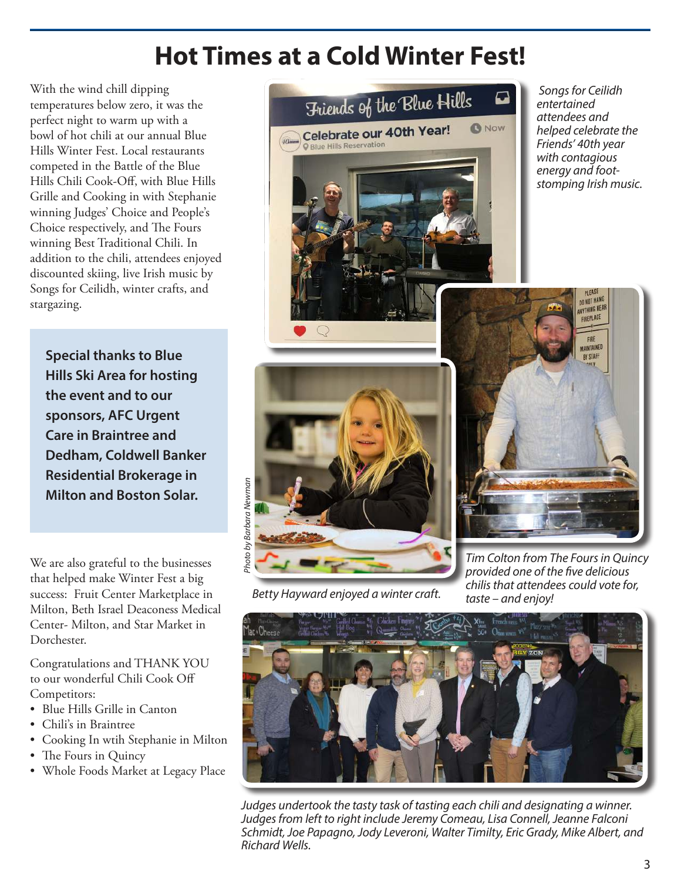## **Hot Times at a Cold Winter Fest!**

With the wind chill dipping temperatures below zero, it was the perfect night to warm up with a bowl of hot chili at our annual Blue Hills Winter Fest. Local restaurants competed in the Battle of the Blue Hills Chili Cook-Off, with Blue Hills Grille and Cooking in with Stephanie winning Judges' Choice and People's Choice respectively, and The Fours winning Best Traditional Chili. In addition to the chili, attendees enjoyed discounted skiing, live Irish music by Songs for Ceilidh, winter crafts, and stargazing.

**Special thanks to Blue Hills Ski Area for hosting the event and to our sponsors, AFC Urgent Care in Braintree and Dedham, Coldwell Banker Residential Brokerage in Milton and Boston Solar.**

We are also grateful to the businesses that helped make Winter Fest a big success: Fruit Center Marketplace in Milton, Beth Israel Deaconess Medical Center- Milton, and Star Market in Dorchester.

Congratulations and THANK YOU to our wonderful Chili Cook Off Competitors:

- • Blue Hills Grille in Canton
- Chili's in Braintree
- • Cooking In wtih Stephanie in Milton
- The Fours in Quincy
- Whole Foods Market at Legacy Place



 Songs for Ceilidh entertained attendees and helped celebrate the Friends' 40th year with contagious energy and footstomping Irish music.



Betty Hayward enjoyed a winter craft.



Tim Colton from The Fours in Quincy provided one of the five delicious chilis that attendees could vote for, taste – and enjoy!



Judges undertook the tasty task of tasting each chili and designating a winner. Judges from left to right include Jeremy Comeau, Lisa Connell, Jeanne Falconi Schmidt, Joe Papagno, Jody Leveroni, Walter Timilty, Eric Grady, Mike Albert, and Richard Wells.